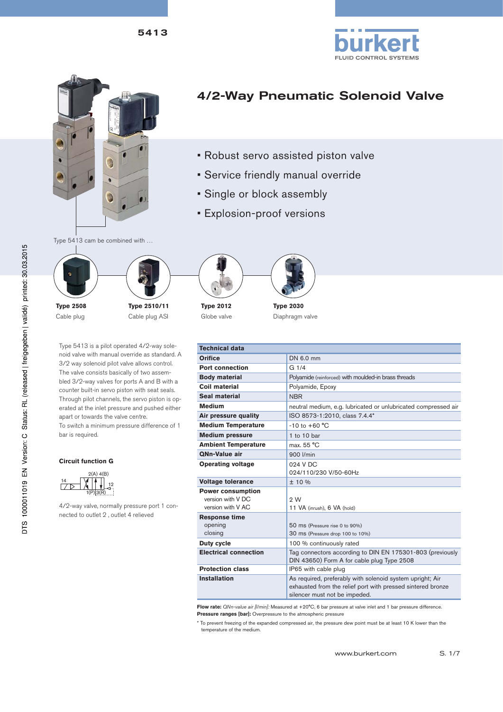5413





# 4/2-Way Pneumatic Solenoid Valve

- Robust servo assisted piston valve
- Service friendly manual override
- Single or block assembly
- Explosion-proof versions

Type 5413 cam be combined with …



Cable plug

**Type 2510/11** Cable plug ASI





Globe valve



| Type 5413 is a pilot operated 4/2-way sole-     |                    |
|-------------------------------------------------|--------------------|
| noid valve with manual override as standard. A  |                    |
| 3/2 way solenoid pilot valve allows control.    |                    |
| The valve consists basically of two assem-      |                    |
| bled 3/2-way valves for ports A and B with a    |                    |
| counter built-in servo piston with seat seals.  |                    |
| Through pilot channels, the servo piston is op- | $\overline{\cdot}$ |
| erated at the inlet pressure and pushed either  |                    |
| apart or towards the valve centre.              |                    |
| To switch a minimum pressure difference of 1    |                    |
| bar is required.                                |                    |
|                                                 |                    |

#### **Circuit function G**



4/2-way valve, normally pressure port 1 connected to outlet 2 , outlet 4 relieved

| <b>Technical data</b>                                              |                                                                                                                                                           |  |  |
|--------------------------------------------------------------------|-----------------------------------------------------------------------------------------------------------------------------------------------------------|--|--|
| <b>Orifice</b>                                                     | DN 6.0 mm                                                                                                                                                 |  |  |
| <b>Port connection</b>                                             | G <sub>1/4</sub>                                                                                                                                          |  |  |
| <b>Body material</b>                                               | Polyamide (reinforced) with moulded-in brass threads                                                                                                      |  |  |
| Coil material                                                      | Polyamide, Epoxy                                                                                                                                          |  |  |
| Seal material                                                      | <b>NBR</b>                                                                                                                                                |  |  |
| <b>Medium</b>                                                      | neutral medium, e.g. lubricated or unlubricated compressed air                                                                                            |  |  |
| Air pressure quality                                               | ISO 8573-1:2010, class 7.4.4*                                                                                                                             |  |  |
| <b>Medium Temperature</b>                                          | $-10$ to $+60$ °C                                                                                                                                         |  |  |
| <b>Medium pressure</b>                                             | 1 to 10 bar                                                                                                                                               |  |  |
| <b>Ambient Temperature</b>                                         | max. 55 °C                                                                                                                                                |  |  |
| <b>ONn-Value air</b>                                               | 900 l/min                                                                                                                                                 |  |  |
| <b>Operating voltage</b>                                           | 024 V DC<br>024/110/230 V/50-60Hz                                                                                                                         |  |  |
| <b>Voltage tolerance</b>                                           | ± 10 %                                                                                                                                                    |  |  |
| <b>Power consumption</b><br>version with V DC<br>version with V AC | 2W<br>11 VA (inrush), 6 VA (hold)                                                                                                                         |  |  |
| <b>Response time</b><br>opening<br>closing                         | 50 ms (Pressure rise 0 to 90%)<br>30 ms (Pressure drop 100 to 10%)                                                                                        |  |  |
| <b>Duty cycle</b>                                                  | 100 % continuously rated                                                                                                                                  |  |  |
| <b>Electrical connection</b>                                       | Tag connectors according to DIN EN 175301-803 (previously<br>DIN 43650) Form A for cable plug Type 2508                                                   |  |  |
| <b>Protection class</b>                                            | IP65 with cable plug                                                                                                                                      |  |  |
| <b>Installation</b>                                                | As required, preferably with solenoid system upright; Air<br>exhausted from the relief port with pressed sintered bronze<br>silencer must not be impeded. |  |  |

**Flow rate:** *QNn-value air [l/min]:* Measured at +20°C, 6 bar pressure at valve inlet and 1 bar pressure difference. **Pressure ranges [bar]:** Overpressure to the atmospheric pressure

\* To prevent freezing of the expanded compressed air, the pressure dew point must be at least 10 K lower than the temperature of the medium.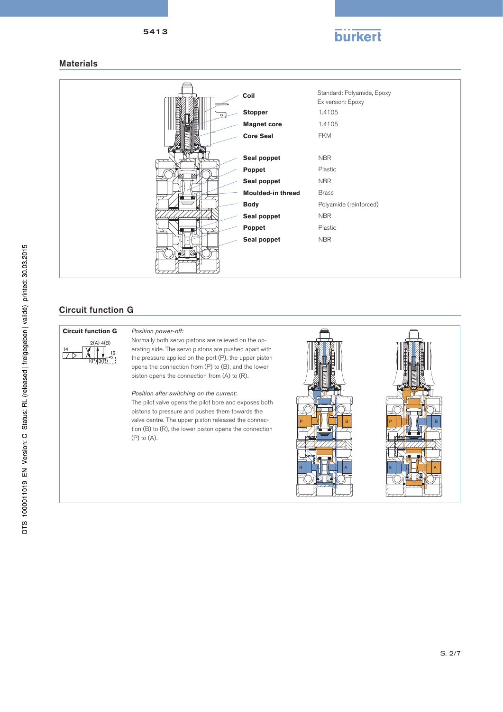

#### **Materials**



## Circuit function G



Normally both servo pistons are relieved on the operating side. The servo pistons are pushed apart with the pressure applied on the port (P), the upper piston opens the connection from (P) to (B), and the lower  $\ddot{\text{p}}$  piston opens the connection from (A) to (R).

#### *Position after switching on the current:*

The pilot valve opens the pilot bore and exposes both pistons to pressure and pushes them towards the valve centre. The upper piston released the connection (B) to (R), the lower piston opens the connection (P) to (A).

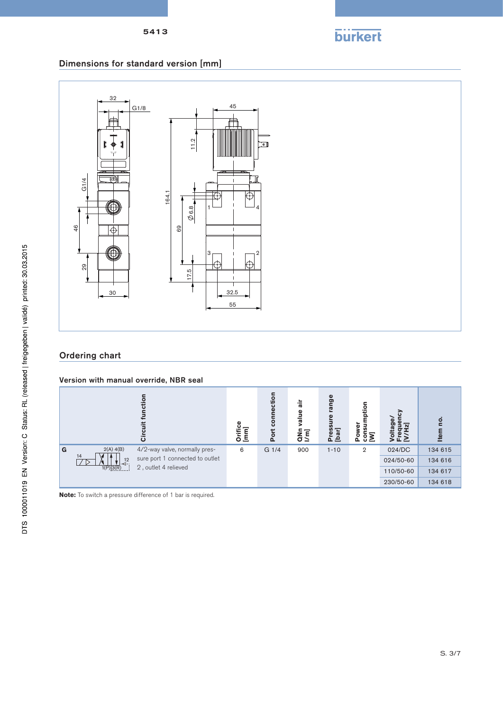

# Dimensions for standard version [mm]



# Ordering chart

#### Version with manual override, NBR seal

|   |                      | ت                               | Φ<br>Orifice<br>[mm] | nnection<br>ē<br>Port | 늚<br>value<br>QN <sub>I</sub> | range<br><u>ی</u><br>Ξ<br>Press<br>[bar] | ption<br>ō<br>큸<br><b>Pow</b><br>$\bar{\bar{\mathbf{S}}}$ | ⋾⋷⋝       | $\circ$<br>ltem |
|---|----------------------|---------------------------------|----------------------|-----------------------|-------------------------------|------------------------------------------|-----------------------------------------------------------|-----------|-----------------|
| G | 2(A) 4(B)            | 4/2-way valve, normally pres-   | 6                    | G 1/4                 | 900                           | $1 - 10$                                 | $\overline{2}$                                            | 024/DC    | 134 615         |
|   | 14<br>$\frac{12}{4}$ | sure port 1 connected to outlet |                      |                       |                               |                                          |                                                           | 024/50-60 | 134 616         |
|   | $1(P)$ 3(R) $\ldots$ | 2, outlet 4 relieved            |                      |                       |                               |                                          |                                                           | 110/50-60 | 134 617         |
|   |                      |                                 |                      |                       |                               |                                          |                                                           | 230/50-60 | 134 618         |

**Note:** To switch a pressure difference of 1 bar is required.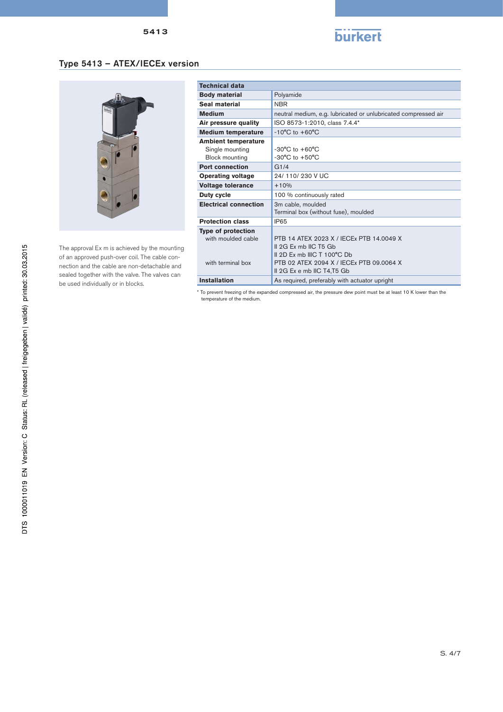5413



# Type 5413 – ATEX/IECEx version



The approval Ex m is achieved by the mounting of an approved push-over coil. The cable connection and the cable are non-detachable and sealed together with the valve. The valves can be used individually or in blocks.

| <b>Technical data</b>        |                                                                |  |  |
|------------------------------|----------------------------------------------------------------|--|--|
| <b>Body material</b>         | Polyamide                                                      |  |  |
| Seal material                | <b>NBR</b>                                                     |  |  |
| <b>Medium</b>                | neutral medium, e.g. lubricated or unlubricated compressed air |  |  |
| Air pressure quality         | ISO 8573-1:2010, class 7.4.4*                                  |  |  |
| <b>Medium temperature</b>    | $-10^{\circ}$ C to $+60^{\circ}$ C                             |  |  |
| <b>Ambient temperature</b>   |                                                                |  |  |
| Single mounting              | $-30^{\circ}$ C to $+60^{\circ}$ C                             |  |  |
| <b>Block mounting</b>        | $-30^{\circ}$ C to $+50^{\circ}$ C                             |  |  |
| <b>Port connection</b>       | G1/4                                                           |  |  |
| <b>Operating voltage</b>     | 24/110/230 V UC                                                |  |  |
| <b>Voltage tolerance</b>     | $+10%$                                                         |  |  |
| Duty cycle                   | 100 % continuously rated                                       |  |  |
| <b>Electrical connection</b> | 3m cable, moulded                                              |  |  |
|                              | Terminal box (without fuse), moulded                           |  |  |
| <b>Protection class</b>      | IP <sub>65</sub>                                               |  |  |
| <b>Type of protection</b>    |                                                                |  |  |
| with moulded cable           | PTR 14 ATFX 2023 X / IFCFx PTR 14,0049 X                       |  |  |
|                              | Il 2G Ex mb IIC T5 Gb                                          |  |  |
|                              | II 2D Ex mb IIIC T 100°C Db                                    |  |  |
| with terminal hox            | PTB 02 ATEX 2094 X / IFCEx PTB 09 0064 X                       |  |  |
|                              | Il 2G Ex e mb IIC T4, T5 Gb                                    |  |  |
|                              |                                                                |  |  |
| <b>Installation</b>          | As required, preferably with actuator upright                  |  |  |

\* To prevent freezing of the expanded compressed air, the pressure dew point must be at least 10 K lower than the temperature of the medium.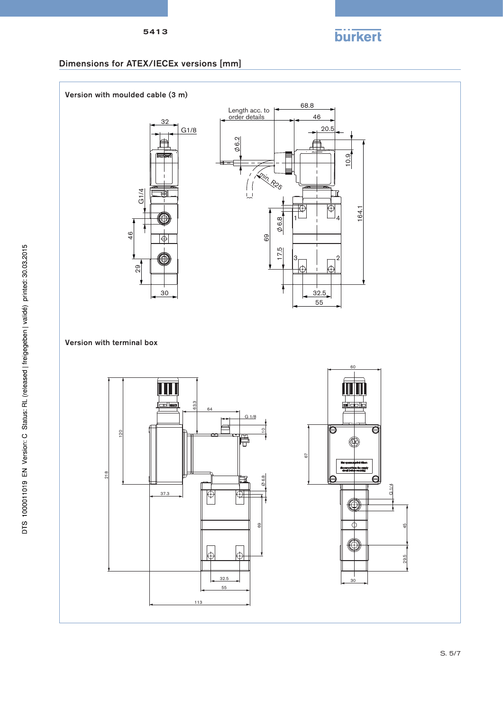



### Dimensions for ATEX/IECEx versions [mm]

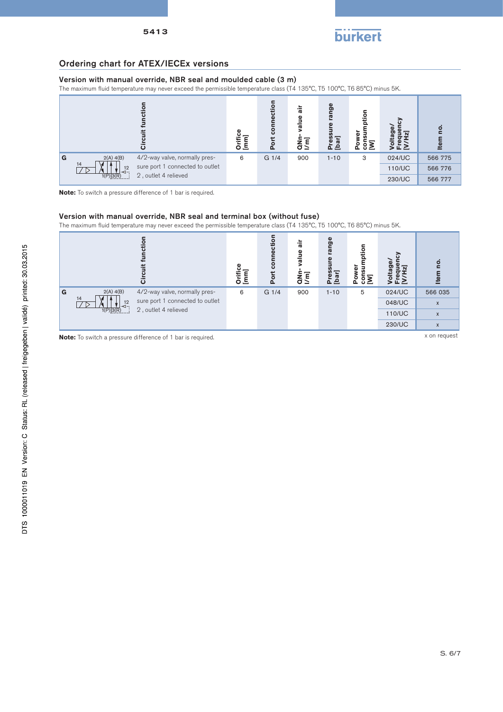

#### Ordering chart for ATEX/IECEx versions

#### Version with manual override, NBR seal and moulded cable (3 m)

The maximum fluid temperature may never exceed the permissible temperature class (T4 135°C, T5 100°C, T6 85°C) minus 5K.





#### Version with manual override, NBR seal and terminal box (without fuse)

The maximum fluid temperature may never exceed the permissible temperature class (T4 135°C, T5 100°C, T6 85°C) minus 5K.



**Note:** To switch a pressure difference of 1 bar is required. **X on request** x on request